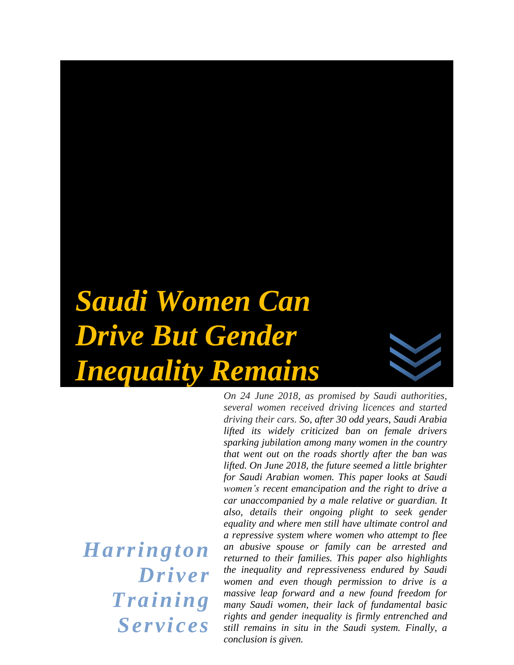# *Saudi Women Can Drive But Gender Inequality Remains*

*Harrington Driver Training Services*

*On 24 June 2018, as promised by Saudi authorities, several women received driving licences and started driving their cars. So, after 30 odd years, Saudi Arabia lifted its widely criticized ban on female drivers sparking jubilation among many women in the country that went out on the roads shortly after the ban was lifted. On June 2018, the future seemed a little brighter for Saudi Arabian women. This paper looks at Saudi women's recent emancipation and the right to drive a car unaccompanied by a male relative or guardian. It also, details their ongoing plight to seek gender equality and where men still have ultimate control and a repressive system where women who attempt to flee an abusive spouse or family can be arrested and returned to their families. This paper also highlights the inequality and repressiveness endured by Saudi women and even though permission to drive is a massive leap forward and a new found freedom for many Saudi women, their lack of fundamental basic rights and gender inequality is firmly entrenched and still remains in situ in the Saudi system. Finally, a conclusion is given.*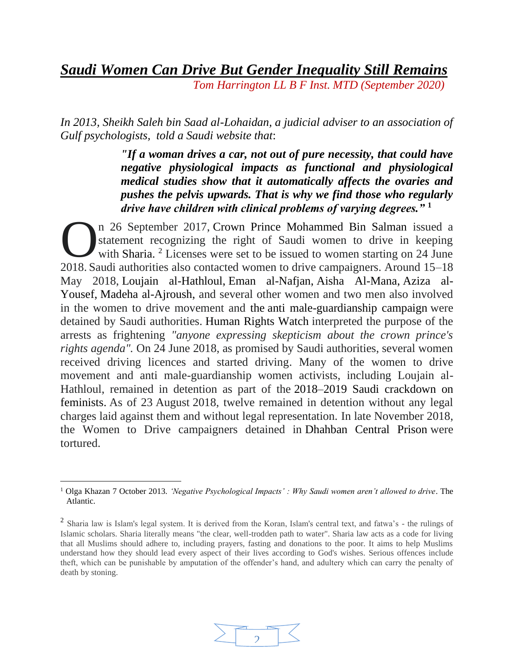*Saudi Women Can Drive But Gender Inequality Still Remains*

 *Tom Harrington LL B F Inst. MTD (September 2020)*

*In 2013, Sheikh Saleh bin Saad al-Lohaidan, a judicial adviser to an association of Gulf psychologists, [told a Saudi website](http://www.reuters.com/article/2013/09/29/us-saudi-driving-idUSBRE98S04B20130929) that*:

> *"If a woman drives a car, not out of pure necessity, that could have negative physiological impacts as functional and physiological medical studies show that it automatically affects the ovaries and pushes the pelvis upwards. That is why we find those who regularly drive have children with clinical problems of varying degrees."* **<sup>1</sup>**

n 26 September 2017, Crown Prince Mohammed Bin Salman issued a statement recognizing the right of Saudi women to drive in keeping with [Sharia.](https://en.wikipedia.org/wiki/Sharia) <sup>2</sup> Licenses were set to be issued to women starting on 24 June 2018. Saudi authorities also contacted women to drive campaigners. Around 15–18 May 2018, [Loujain al-Hathloul,](https://en.wikipedia.org/wiki/Loujain_Alhathloul) [Eman al-Nafjan,](https://en.wikipedia.org/wiki/Eman_al-Nafjan) [Aisha Al-Mana,](https://en.wikipedia.org/wiki/Aisha_Al-Mana) [Aziza al-](https://en.wikipedia.org/wiki/Aziza_al-Yousef)[Yousef,](https://en.wikipedia.org/wiki/Aziza_al-Yousef) [Madeha al-Ajroush,](https://en.wikipedia.org/wiki/Madeha_al-Ajroush) and several other women and two men also involved in the women to drive movement and the [anti male-guardianship campaign](https://en.wikipedia.org/wiki/Anti_male-guardianship_campaign) were detained by Saudi authorities. [Human Rights Watch](https://en.wikipedia.org/wiki/Human_Rights_Watch) interpreted the purpose of the arrests as frightening *"anyone expressing skepticism about the crown prince's rights agenda".* On 24 June 2018, as promised by Saudi authorities, several women received driving licences and started driving. Many of the women to drive movement and anti male-guardianship women activists, including Loujain al-Hathloul, remained in detention as part of the [2018–2019 Saudi crackdown on](https://en.wikipedia.org/wiki/2018%E2%80%932019_Saudi_crackdown_on_feminists)  [feminists.](https://en.wikipedia.org/wiki/2018%E2%80%932019_Saudi_crackdown_on_feminists) As of 23 August 2018, twelve remained in detention without any legal charges laid against them and without legal representation. In late November 2018, the Women to Drive campaigners detained in [Dhahban Central Prison](https://en.wikipedia.org/wiki/Dhahban_Central_Prison) were tortured. O



<sup>1</sup> Olga Khazan 7 October 2013. *'Negative Psychological Impacts' : Why Saudi women aren't allowed to drive*. The Atlantic.

 $<sup>2</sup>$  Sharia law is Islam's legal system. It is derived from the Koran, Islam's central text, and fatwa's - the rulings of</sup> Islamic scholars. Sharia literally means "the clear, well-trodden path to water". Sharia law acts as a code for living that all Muslims should adhere to, including prayers, fasting and donations to the poor. It aims to help Muslims understand how they should lead every aspect of their lives according to God's wishes. Serious offences include theft, which can be punishable by amputation of the offender's hand, and adultery which can carry the penalty of death by stoning.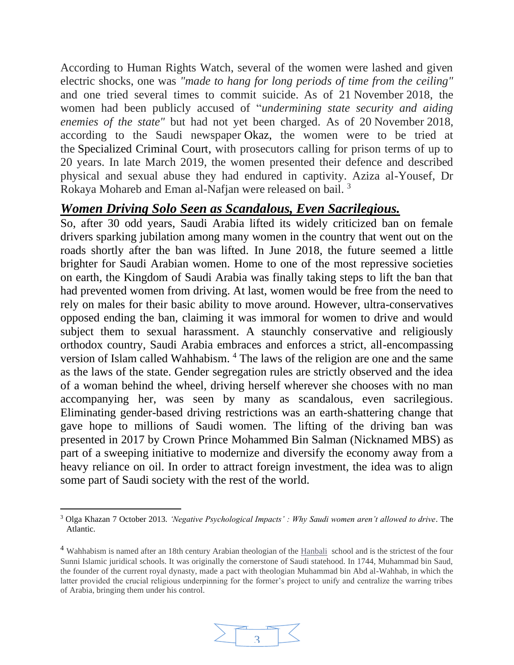According to Human Rights Watch, several of the women were lashed and given electric shocks, one was *"made to hang for long periods of time from the ceiling"* and one tried several times to commit suicide. As of 21 November 2018, the women had been publicly accused of "*undermining state security and aiding enemies of the state"* but had not yet been charged. As of 20 November 2018, according to the Saudi newspaper [Okaz,](https://en.wikipedia.org/wiki/Okaz) the women were to be tried at the [Specialized Criminal Court,](https://en.wikipedia.org/wiki/Specialized_Criminal_Court_(Saudi_Arabia)) with prosecutors calling for prison terms of up to 20 years. In late March 2019, the women presented their defence and described physical and sexual abuse they had endured in captivity. Aziza al-Yousef, Dr Rokaya Mohareb and Eman al-Nafjan were released on bail. <sup>3</sup>

# *Women Driving Solo Seen as Scandalous, Even Sacrilegious.*

So, after 30 odd years, Saudi Arabia lifted its widely criticized ban on female drivers sparking jubilation among many women in the country that went out on the roads shortly after the ban was lifted. In June 2018, the future seemed a little brighter for Saudi Arabian women. Home to one of the most repressive societies on earth, the Kingdom of Saudi Arabia was finally taking steps to lift the ban that had prevented women from [driving.](https://abcnews.go.com/International/saudi-women-wheel-car-time-history/story?id=56097713) At last, women would be free from the need to rely on males for their basic ability to move around. However, ultra-conservatives opposed ending the ban, claiming it was immoral for women to drive and would subject them to sexual harassment. A staunchly conservative and religiously orthodox country, Saudi Arabia embraces and enforces a strict, all-encompassing version of Islam called Wahhabism. <sup>4</sup> The laws of the religion are one and the same as the laws of the state. Gender segregation rules are strictly observed and the idea of a woman behind the wheel, driving herself wherever she chooses with no man accompanying her, was seen by many as scandalous, even sacrilegious. Eliminating gender-based driving restrictions was an earth-shattering change that gave hope to millions of Saudi women. The lifting of the driving ban was presented in 2017 by Crown Prince Mohammed Bin Salman (Nicknamed MBS) as part of a sweeping initiative to modernize and diversify the economy away from a heavy reliance on oil. In order to attract foreign investment, the idea was to align some part of Saudi society with the rest of the world.

<sup>&</sup>lt;sup>4</sup> Wahhabism is named after an 18th century Arabian theologian of the [Hanbali](http://www.philtar.ac.uk/encyclopedia/islam/sunni/hanb.html) school and is the strictest of the four Sunni Islamic juridical schools. It was originally the cornerstone of Saudi statehood. In 1744, Muhammad bin Saud, the founder of the current royal dynasty, made a pact with theologian Muhammad bin Abd al-Wahhab, in which the latter provided the crucial religious underpinning for the former's project to unify and centralize the warring tribes of Arabia, bringing them under his control.



<sup>3</sup> Olga Khazan 7 October 2013. *'Negative Psychological Impacts' : Why Saudi women aren't allowed to drive*. The Atlantic.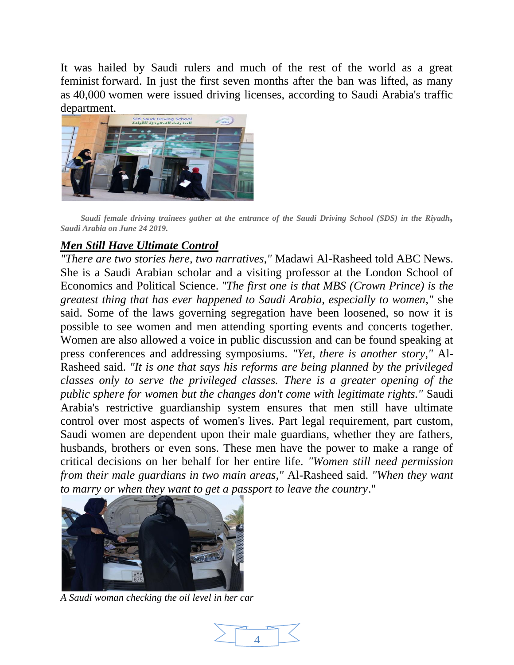It was hailed by Saudi rulers and much of the rest of the world as a great feminist forward. In just the first seven months after the ban was lifted, as many as [40,000](http://saudigazette.com.sa/article/552026) women were issued driving licenses, according to Saudi Arabia's traffic department.



*Saudi female driving trainees gather at the entrance of the Saudi Driving School (SDS) in the Riyadh, Saudi Arabia on June 24 2019.*

# *Men Still Have Ultimate Control*

*"There are two stories here, two narratives,"* Madawi Al-Rasheed told ABC News. She is a Saudi Arabian scholar and a visiting professor at the London School of Economics and Political Science. *"The first one is that MBS (Crown Prince) is the greatest thing that has ever happened to Saudi Arabia, especially to women,"* she said. Some of the laws governing segregation have been loosened, so now it is possible to see women and men attending sporting events and concerts together. Women are also allowed a voice in public discussion and can be found speaking at press conferences and addressing symposiums. *"Yet, there is another story,"* Al-Rasheed said. *"It is one that says his reforms are being planned by the privileged classes only to serve the privileged classes. There is a greater opening of the public sphere for women but the changes don't come with legitimate rights."* Saudi Arabia's restrictive guardianship system ensures that men still have ultimate control over most aspects of women's lives. Part legal requirement, part custom, Saudi women are dependent upon their male guardians, whether they are fathers, husbands, brothers or even sons. These men have the power to make a range of critical decisions on her behalf for her entire life. *"Women still need permission from their male guardians in two main areas,"* Al-Rasheed said. *"When they want to marry or when they want to get a passport to leave the country*."



*A Saudi woman checking the oil level in her car*

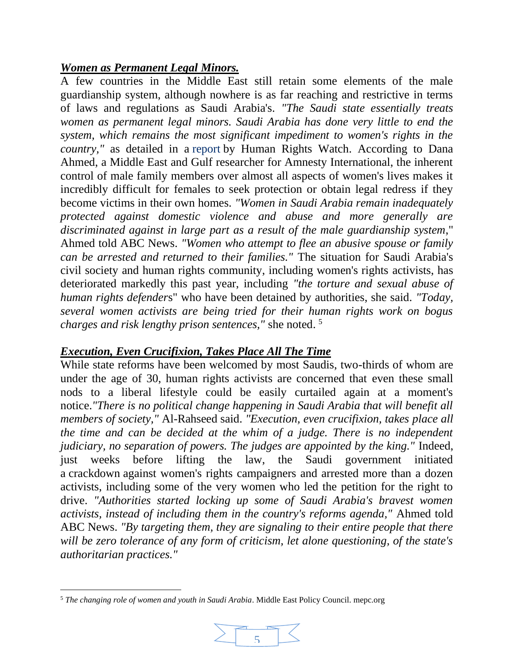## *Women as Permanent Legal Minors.*

A few countries in the Middle East still retain some elements of the male guardianship system, although nowhere is as far reaching and restrictive in terms of laws and regulations as Saudi Arabia's. *"The Saudi state essentially treats women as permanent legal minors. Saudi Arabia has done very little to end the system, which remains the most significant impediment to women's rights in the country,"* as detailed in a [report](https://www.hrw.org/news/2019/01/30/saudi-arabia-10-reasons-why-women-flee) by Human Rights Watch. According to Dana Ahmed, a Middle East and Gulf researcher for Amnesty International, the inherent control of male family members over almost all aspects of women's lives makes it incredibly difficult for females to seek protection or obtain legal redress if they become victims in their own homes. *"Women in Saudi Arabia remain inadequately protected against domestic violence and abuse and more generally are discriminated against in large part as a result of the male guardianship system*," Ahmed told ABC News. *"Women who attempt to flee an abusive spouse or family can be arrested and returned to their families."* The situation for Saudi Arabia's civil society and human rights community, including women's rights activists, has deteriorated markedly this past year, including *"the torture and sexual abuse of human rights defender*s" who have been detained by authorities, she said. *"Today, several women activists are being tried for their human rights work on bogus charges and risk lengthy prison sentences,"* she noted. 5

## *Execution, Even Crucifixion, Takes Place All The Time*

While state reforms have been welcomed by most Saudis, two-thirds of whom are under the age of 30, human rights activists are concerned that even these small nods to a liberal lifestyle could be easily curtailed again at a moment's notice.*"There is no political change happening in Saudi Arabia that will benefit all members of society,"* Al-Rahseed said. *"Execution, even crucifixion, takes place all the time and can be decided at the whim of a judge. There is no independent judiciary, no separation of powers. The judges are appointed by the king."* Indeed, just weeks before lifting the law, the Saudi government initiated a [crackdown](https://www.hrw.org/news/2018/08/01/prominent-saudi-women-activists-arrested) against women's rights campaigners and arrested more than a dozen activists, including some of the very women who led the petition for the right to drive. *"Authorities started locking up some of Saudi Arabia's bravest women activists, instead of including them in the country's reforms agenda,"* Ahmed told ABC News. *"By targeting them, they are signaling to their entire people that there will be zero tolerance of any form of criticism, let alone questioning, of the state's authoritarian practices."*

<sup>5</sup> *The changing role of women and youth in Saudi Arabia*. Middle East Policy Council. mepc.org

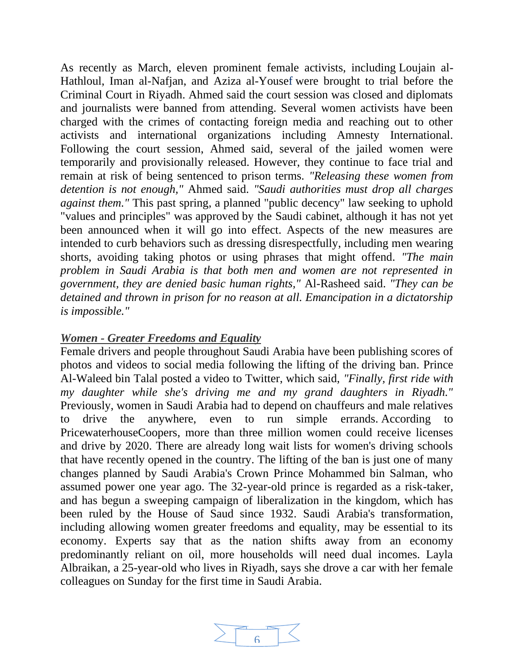As recently as March, eleven prominent female activists, including [Loujain al-](https://www.washingtonpost.com/world/middle_east/meet-the-saudi-women-who-advocated-for-the-right-to-drive--and-are-paying-dearly-for-it/2018/06/23/bd977440-73cf-11e8-bda1-18e53a448a14_story.html?utm_term=.887af121253d)[Hathloul, Iman al-Nafjan, and Aziza al-Yousef](https://www.washingtonpost.com/world/middle_east/meet-the-saudi-women-who-advocated-for-the-right-to-drive--and-are-paying-dearly-for-it/2018/06/23/bd977440-73cf-11e8-bda1-18e53a448a14_story.html?utm_term=.887af121253d) were brought to trial before the Criminal Court in Riyadh. Ahmed said the court session was closed and diplomats and journalists were banned from attending. Several women activists have been charged with the crimes of contacting foreign media and reaching out to other activists and international organizations including Amnesty International. Following the court session, Ahmed said, several of the jailed women were temporarily and provisionally released. However, they continue to face trial and remain at risk of being sentenced to prison terms. *"Releasing these women from detention is not enough,"* Ahmed said. *"Saudi authorities must drop all charges against them."* This past spring, a planned "public decency" law seeking to uphold "values and principles" was [approved](https://gulfbusiness.com/saudi-start-fining-violators-new-public-decency-rules/) by the Saudi cabinet, although it has not yet been announced when it will go into effect. Aspects of the new measures are intended to curb behaviors such as dressing disrespectfully, including men wearing shorts, avoiding taking photos or using phrases that might offend. *"The main problem in Saudi Arabia is that both men and women are not represented in government, they are denied basic human rights,"* Al-Rasheed said. *"They can be detained and thrown in prison for no reason at all. Emancipation in a dictatorship is impossible."*

#### *Women - Greater Freedoms and Equality*

Female drivers and people throughout Saudi Arabia have been publishing scores of photos and videos to social media following the lifting of the driving ban. Prince Al-Waleed bin Talal posted a video to Twitter, which said, *"Finally, first ride with my daughter while she's driving me and my grand daughters in Riyadh."* Previously, women in Saudi Arabia had to depend on chauffeurs and male relatives to drive the anywhere, even to run simple errands. [According to](https://www.pwc.com/m1/en/publications/women-driving-the-transformation-of-the-ksa-automotive-market.html)  [PricewaterhouseCoopers,](https://www.pwc.com/m1/en/publications/women-driving-the-transformation-of-the-ksa-automotive-market.html) more than three million women could receive licenses and drive by 2020. There are already long wait lists for women's driving schools that have recently opened in the country. The lifting of the ban is just one of many changes planned by Saudi Arabia's Crown Prince Mohammed bin Salman, who assumed power one year ago. The 32-year-old prince is regarded as a risk-taker, and has begun a sweeping campaign of liberalization in the kingdom, which has been ruled by the House of Saud since 1932. Saudi Arabia's transformation, including allowing women greater freedoms and equality, may be essential to its economy. Experts say that as the nation shifts away from an economy predominantly reliant on oil, more households will need dual incomes. Layla Albraikan, a 25-year-old who lives in Riyadh, says she drove a car with her female colleagues on Sunday for the first time in Saudi Arabia*.* 

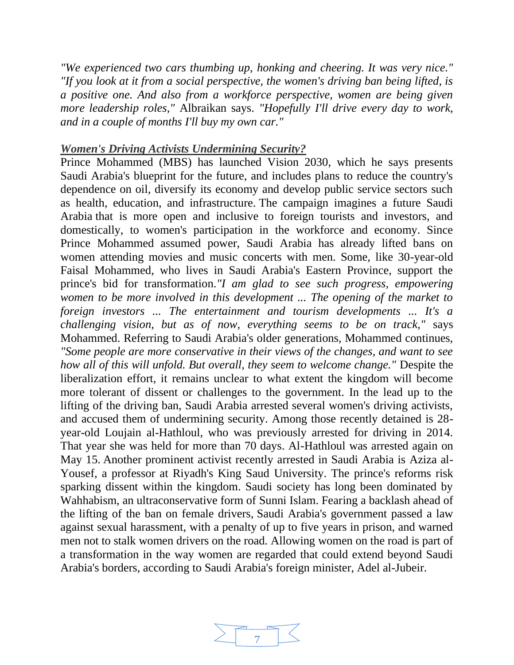*"We experienced two cars thumbing up, honking and cheering. It was very nice." "If you look at it from a social perspective, the women's driving ban being lifted, is a positive one. And also from a workforce perspective, women are being given more leadership roles,"* Albraikan says. *"Hopefully I'll drive every day to work, and in a couple of months I'll buy my own car."*

#### *Women's Driving Activists Undermining Security?*

Prince Mohammed (MBS) has launched Vision 2030, which he says presents Saudi Arabia's blueprint for the future, and includes plans to reduce the country's dependence on oil, diversify its economy and develop public service sectors such as health, education, and infrastructure. [The campaign imagines a future Saudi](http://vision2030.gov.sa/en/foreword)  [Arabia](http://vision2030.gov.sa/en/foreword) that is more open and inclusive to foreign tourists and investors, and domestically, to women's participation in the workforce and economy. Since Prince Mohammed assumed power, Saudi Arabia has already lifted bans on women attending movies and music concerts with men. Some, like 30-year-old Faisal Mohammed, who lives in Saudi Arabia's Eastern Province, support the prince's bid for transformation.*"I am glad to see such progress, empowering women to be more involved in this development ... The opening of the market to foreign investors ... The entertainment and tourism developments ... It's a challenging vision, but as of now, everything seems to be on track,"* says Mohammed. Referring to Saudi Arabia's older generations, Mohammed continues, *"Some people are more conservative in their views of the changes, and want to see how all of this will unfold. But overall, they seem to welcome change."* Despite the liberalization effort, it remains unclear to what extent the kingdom will become more tolerant of dissent or challenges to the government. In the lead up to the lifting of the driving ban, Saudi Arabia arrested several women's driving activists, and accused them of undermining security. Among those recently detained is 28 year-old Loujain al-Hathloul, who was previously arrested for driving in 2014. That year she was held for more than 70 days. Al-Hathloul was arrested again on May 15. Another prominent activist recently arrested in Saudi Arabia is Aziza al-Yousef, a professor at Riyadh's King Saud University. The prince's reforms risk sparking dissent within the kingdom. Saudi society has long been dominated by Wahhabism, an ultraconservative form of Sunni Islam. Fearing a backlash ahead of the lifting of the ban on female drivers, [Saudi Arabia's government passed a law](https://www.reuters.com/article/us-saudi-harassment-law/saudi-arabia-prepares-to-outlaw-sexual-harassment-idUSKCN1IU2G2)  [against sexual harassment,](https://www.reuters.com/article/us-saudi-harassment-law/saudi-arabia-prepares-to-outlaw-sexual-harassment-idUSKCN1IU2G2) with a penalty of up to five years in prison, and warned men not to stalk women drivers on the road. Allowing women on the road is part of a transformation in the way women are regarded that could extend beyond Saudi Arabia's borders, according to Saudi Arabia's foreign minister, Adel al-Jubeir.

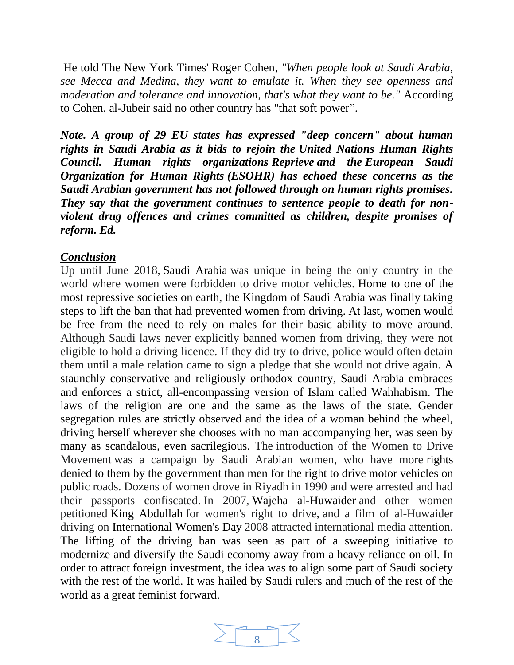[He told The New York Times' Roger Cohen,](https://www.nytimes.com/2018/06/21/opinion/sunday/saudi-arabia-women-drivers.html) *"When people look at Saudi Arabia, see Mecca and Medina, they want to emulate it. When they see openness and moderation and tolerance and innovation, that's what they want to be."* According to Cohen, al-Jubeir said no other country has "that soft power".

*Note. A group of 29 EU states has expressed "deep concern" about human rights in Saudi Arabia as it bids to rejoin the United Nations Human Rights Council. Human rights organizations Reprieve and the European Saudi Organization for Human Rights (ESOHR) has echoed these concerns as the Saudi Arabian government has not followed through on human rights promises. They say that the government continues to sentence people to death for nonviolent drug offences and crimes committed as children, despite promises of reform. Ed.*

### *Conclusion*

Up until June 2018, [Saudi Arabia](https://en.wikipedia.org/wiki/Saudi_Arabia) was unique in being the only country in the world where women were forbidden to drive motor vehicles. Home to one of the most repressive societies on earth, the Kingdom of Saudi Arabia was finally taking steps to lift the ban that had prevented women from [driving.](https://abcnews.go.com/International/saudi-women-wheel-car-time-history/story?id=56097713) At last, women would be free from the need to rely on males for their basic ability to move around. Although Saudi laws never explicitly banned women from driving, they were not eligible to hold a driving licence. If they did try to drive, police would often detain them until a male relation came to sign a pledge that she would not drive again. A staunchly conservative and religiously orthodox country, Saudi Arabia embraces and enforces a strict, all-encompassing version of Islam called Wahhabism. The laws of the religion are one and the same as the laws of the state. Gender segregation rules are strictly observed and the idea of a woman behind the wheel, driving herself wherever she chooses with no man accompanying her, was seen by many as scandalous, even sacrilegious. The introduction of the Women to Drive Movement was a campaign by Saudi Arabian women, who have more [rights](https://en.wikipedia.org/wiki/Women%27s_rights_in_Saudi_Arabia)  [denied](https://en.wikipedia.org/wiki/Women%27s_rights_in_Saudi_Arabia) to them by the government than men for the right to drive motor vehicles on public roads. Dozens of women drove in Riyadh in 1990 and were arrested and had their passports confiscated. In 2007, [Wajeha al-Huwaider](https://en.wikipedia.org/wiki/Wajeha_al-Huwaider) and other women petitioned [King Abdullah](https://en.wikipedia.org/wiki/Abdullah_of_Saudi_Arabia) for women's right to drive, and a film of al-Huwaider driving on [International Women's Day](https://en.wikipedia.org/wiki/International_Women%27s_Day) 2008 attracted international media attention. The lifting of the driving ban was seen as part of a sweeping initiative to modernize and diversify the Saudi economy away from a heavy reliance on oil. In order to attract foreign investment, the idea was to align some part of Saudi society with the rest of the world. It was hailed by Saudi rulers and much of the rest of the world as a great feminist forward.